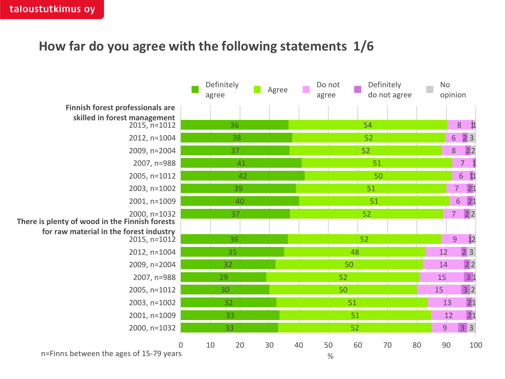## **How far do you agree with the following statements 1/6**

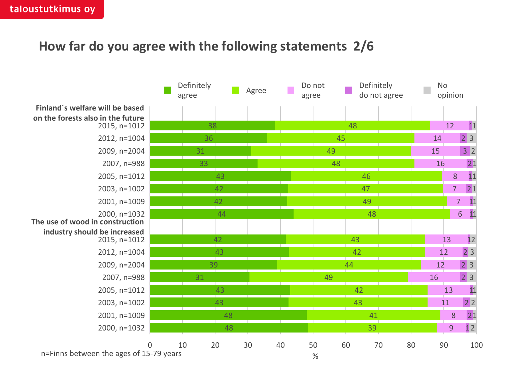# **How far do you agree with the following statements 2/6**

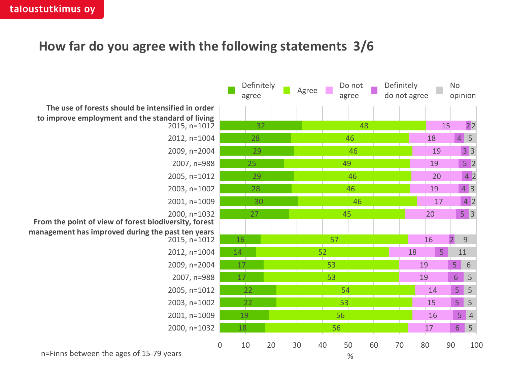# **How far do you agree with the following statements 3/6**

|                                                                       |    | Definitely<br>agree |    | Agree |    | Do not<br>agree |    | Definitely<br>do not agree |    |                | <b>No</b><br>opinion |                           |
|-----------------------------------------------------------------------|----|---------------------|----|-------|----|-----------------|----|----------------------------|----|----------------|----------------------|---------------------------|
| The use of forests should be intensified in order                     |    |                     |    |       |    |                 |    |                            |    |                |                      |                           |
| to improve employment and the standard of living<br>$2015, n=1012$    |    | 32                  |    |       |    | 48              |    |                            |    |                | 15                   | 2 <sup>2</sup>            |
| 2012, n=1004                                                          |    | 28                  |    |       |    | 46              |    |                            |    | 18             |                      | $4 \mid 5$                |
| 2009, n=2004                                                          |    | 29                  |    |       | 46 |                 |    |                            |    | 19             |                      | 33                        |
| 2007, n=988                                                           |    | 25                  |    |       | 49 |                 |    |                            |    | 19             |                      | $5 \vert 2$               |
| 2005, n=1012                                                          |    | 29                  |    |       | 46 |                 |    |                            |    | 20             |                      | 4 <sup>2</sup>            |
| 2003, n=1002                                                          |    | 28                  |    |       | 46 |                 |    |                            |    | 19             |                      | $4 \overline{\smash{)}3}$ |
| 2001, n=1009                                                          |    | 30                  |    |       |    | 46              |    |                            |    | 17             |                      | $4 \overline{2}$          |
| 2000, n=1032<br>From the point of view of forest biodiversity, forest |    | 27                  |    |       |    | 45              |    |                            |    | 20             |                      | $5 \mid 3$                |
| management has improved during the past ten years<br>2015, n=1012     | 16 |                     |    |       | 57 |                 |    |                            |    | 16             | $\overline{2}$       | $\mathcal{G}$             |
| 2012, n=1004                                                          | 14 |                     |    |       | 52 |                 |    |                            | 18 | 5 <sub>1</sub> |                      | 11                        |
| 2009, n=2004                                                          | 17 |                     |    |       | 53 |                 |    |                            |    | 19             | 5                    | 6                         |
| 2007, n=988                                                           | 17 |                     |    | 53    |    |                 |    |                            | 19 |                | 6                    | 5                         |
| 2005, n=1012                                                          | 22 |                     |    | 54    |    |                 |    |                            |    | 14             |                      | 5 <sup>1</sup><br>5       |
| 2003, n=1002                                                          | 22 |                     |    | 53    |    |                 |    |                            |    | 15             |                      | $5 \mid 5$                |
| 2001, n=1009                                                          |    | 19                  |    | 56    |    |                 |    |                            |    | 16             |                      | 5 <sub>1</sub><br> 4      |
| 2000, n=1032                                                          | 18 |                     |    |       |    | 56              |    |                            |    | 17             | 6                    | 5                         |
| 0                                                                     | 10 |                     | 20 | 30    | 40 | 50              | 60 | 70                         |    | 80             | 90                   | 100                       |

n=Finns between the ages of 15-79 years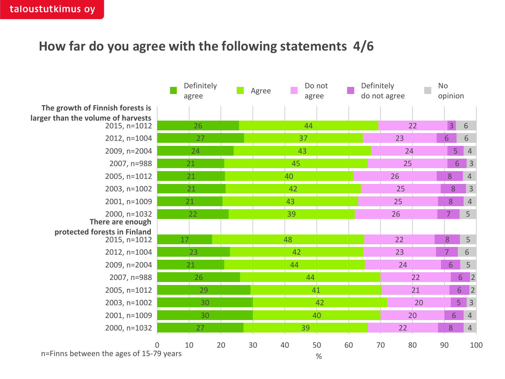## **How far do you agree with the following statements 4/6**

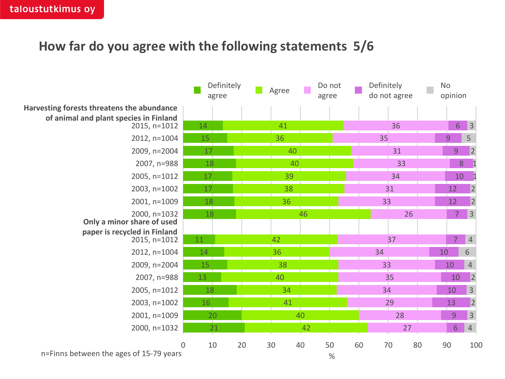#### **How far do you agree with the following statements 5/6**